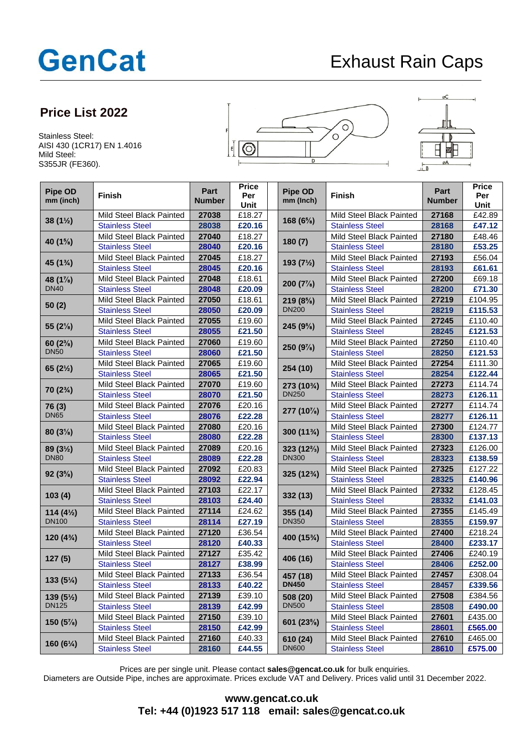## **GenCat**

## Exhaust Rain Caps

## **Price List 2022**

Stainless Steel: AISI 430 (1CR17) EN 1.4016 Mild Steel: S355JR (FE360).





| Pipe OD<br>mm (inch)                 | <b>Finish</b>            | Part<br><b>Number</b> | <b>Price</b><br>Per<br>Unit | Pipe OD<br>mm (Inch) | <b>Finish</b>            | Part<br><b>Number</b> | <b>Price</b><br>Per<br>Unit |
|--------------------------------------|--------------------------|-----------------------|-----------------------------|----------------------|--------------------------|-----------------------|-----------------------------|
| $38(1\frac{1}{2})$                   | Mild Steel Black Painted | 27038                 | £18.27                      |                      | Mild Steel Black Painted | 27168                 | £42.89                      |
|                                      | <b>Stainless Steel</b>   | 28038                 | £20.16                      | 168 (6%)             | <b>Stainless Steel</b>   | 28168                 | £47.12                      |
| 40 (1%)                              | Mild Steel Black Painted | 27040                 | £18.27                      | 180(7)               | Mild Steel Black Painted | 27180                 | £48.46                      |
|                                      | <b>Stainless Steel</b>   | 28040                 | £20.16                      |                      | <b>Stainless Steel</b>   | 28180                 | £53.25                      |
| 45 (1%)                              | Mild Steel Black Painted | 27045                 | £18.27                      | 193 $(7\frac{1}{2})$ | Mild Steel Black Painted | 27193                 | £56.04                      |
|                                      | <b>Stainless Steel</b>   | 28045                 | £20.16                      |                      | <b>Stainless Steel</b>   | 28193                 | £61.61                      |
| 48 $(1\%)$<br><b>DN40</b>            | Mild Steel Black Painted | 27048                 | £18.61                      | 200 $(7\%)$          | Mild Steel Black Painted | 27200                 | £69.18                      |
|                                      | <b>Stainless Steel</b>   | 28048                 | £20.09                      |                      | <b>Stainless Steel</b>   | 28200                 | £71.30                      |
| 50(2)                                | Mild Steel Black Painted | 27050                 | £18.61                      | $219(8\%)$           | Mild Steel Black Painted | 27219                 | £104.95                     |
|                                      | <b>Stainless Steel</b>   | 28050                 | £20.09                      | <b>DN200</b>         | <b>Stainless Steel</b>   | 28219                 | £115.53                     |
| 55 (2%)                              | Mild Steel Black Painted | 27055                 | £19.60                      | 245 (9%)             | Mild Steel Black Painted | 27245                 | £110.40                     |
|                                      | <b>Stainless Steel</b>   | 28055                 | £21.50                      |                      | <b>Stainless Steel</b>   | 28245                 | £121.53                     |
| $60(2\%)$<br><b>DN50</b>             | Mild Steel Black Painted | 27060                 | £19.60                      | 250 $(9\%)$          | Mild Steel Black Painted | 27250                 | £110.40                     |
|                                      | <b>Stainless Steel</b>   | 28060                 | £21.50                      |                      | <b>Stainless Steel</b>   | 28250                 | £121.53                     |
| 65 $(2\frac{1}{2})$                  | Mild Steel Black Painted | 27065                 | £19.60                      | 254 (10)             | Mild Steel Black Painted | 27254                 | £111.30                     |
|                                      | <b>Stainless Steel</b>   | 28065                 | £21.50                      |                      | <b>Stainless Steel</b>   | 28254                 | £122.44                     |
| $70(2\%)$                            | Mild Steel Black Painted | 27070                 | £19.60                      | 273 (103/4)          | Mild Steel Black Painted | 27273                 | £114.74                     |
|                                      | <b>Stainless Steel</b>   | 28070                 | £21.50                      | <b>DN250</b>         | <b>Stainless Steel</b>   | 28273                 | £126.11                     |
| 76 (3)                               | Mild Steel Black Painted | 27076                 | £20.16                      | 277 (10%)            | Mild Steel Black Painted | 27277                 | £114.74                     |
| <b>DN65</b>                          | <b>Stainless Steel</b>   | 28076                 | £22.28                      |                      | <b>Stainless Steel</b>   | 28277                 | £126.11                     |
| $80(3\%)$                            | Mild Steel Black Painted | 27080                 | £20.16                      | 300 (113/4)          | Mild Steel Black Painted | 27300                 | £124.77                     |
|                                      | <b>Stainless Steel</b>   | 28080                 | £22.28                      |                      | <b>Stainless Steel</b>   | 28300                 | £137.13                     |
| 89 (31/2)<br><b>DN80</b>             | Mild Steel Black Painted | 27089                 | £20.16                      | $323(12\frac{2}{3})$ | Mild Steel Black Painted | 27323                 | £126.00                     |
|                                      | <b>Stainless Steel</b>   | 28089                 | £22.28                      | <b>DN300</b>         | <b>Stainless Steel</b>   | 28323                 | £138.59                     |
| $92(3\%)$                            | Mild Steel Black Painted | 27092                 | £20.83                      | 325 (123/4)          | Mild Steel Black Painted | 27325                 | £127.22                     |
|                                      | <b>Stainless Steel</b>   | 28092                 | £22.94                      |                      | <b>Stainless Steel</b>   | 28325                 | £140.96                     |
| 103(4)                               | Mild Steel Black Painted | 27103                 | £22.17                      | 332 (13)             | Mild Steel Black Painted | 27332                 | £128.45                     |
|                                      | <b>Stainless Steel</b>   | 28103                 | £24.40                      |                      | <b>Stainless Steel</b>   | 28332                 | £141.03                     |
| 114 $(4\frac{1}{2})$<br><b>DN100</b> | Mild Steel Black Painted | 27114                 | £24.62                      | 355 (14)             | Mild Steel Black Painted | 27355                 | £145.49                     |
|                                      | <b>Stainless Steel</b>   | 28114                 | £27.19                      | <b>DN350</b>         | <b>Stainless Steel</b>   | 28355                 | £159.97                     |
| $120(4^{3}/_{4})$                    | Mild Steel Black Painted | 27120                 | £36.54                      | 400 (153/4)          | Mild Steel Black Painted | 27400                 | £218.24                     |
|                                      | <b>Stainless Steel</b>   | 28120                 | £40.33                      |                      | <b>Stainless Steel</b>   | 28400                 | £233.17                     |
| 127(5)                               | Mild Steel Black Painted | 27127                 | £35.42                      | 406 (16)             | Mild Steel Black Painted | 27406                 | £240.19                     |
|                                      | <b>Stainless Steel</b>   | 28127                 | £38.99                      |                      | <b>Stainless Steel</b>   | 28406                 | £252.00                     |
| $133(5\%)$                           | Mild Steel Black Painted | 27133                 | £36.54                      | 457 (18)             | Mild Steel Black Painted | 27457                 | £308.04                     |
|                                      | <b>Stainless Steel</b>   | 28133                 | £40.22                      | <b>DN450</b>         | <b>Stainless Steel</b>   | 28457                 | £339.56                     |
| 139 $(5\frac{1}{2})$<br><b>DN125</b> | Mild Steel Black Painted | 27139                 | £39.10                      | 508 (20)             | Mild Steel Black Painted | 27508                 | £384.56                     |
|                                      | <b>Stainless Steel</b>   | 28139                 | £42.99                      | <b>DN500</b>         | <b>Stainless Steel</b>   | 28508                 | £490.00                     |
| 150 $(5\%)$                          | Mild Steel Black Painted | 27150                 | £39.10                      |                      | Mild Steel Black Painted | 27601                 | £435.00                     |
|                                      | <b>Stainless Steel</b>   | 28150                 | £42.99                      | 601 (23%)            | <b>Stainless Steel</b>   | 28601                 | £565.00                     |
| 160 $(6\%)$                          | Mild Steel Black Painted | 27160                 | £40.33                      | 610 (24)             | Mild Steel Black Painted | 27610                 | £465.00                     |
|                                      | <b>Stainless Steel</b>   | 28160                 | £44.55                      | <b>DN600</b>         | <b>Stainless Steel</b>   | 28610                 | £575.00                     |

Prices are per single unit. Please contact **sales@gencat.co.uk** for bulk enquiries.

Diameters are Outside Pipe, inches are approximate. Prices exclude VAT and Delivery. Prices valid until 31 December 2022.

## **www.gencat.co.uk Tel: +44 (0)1923 517 118 email: sales@gencat.co.uk**